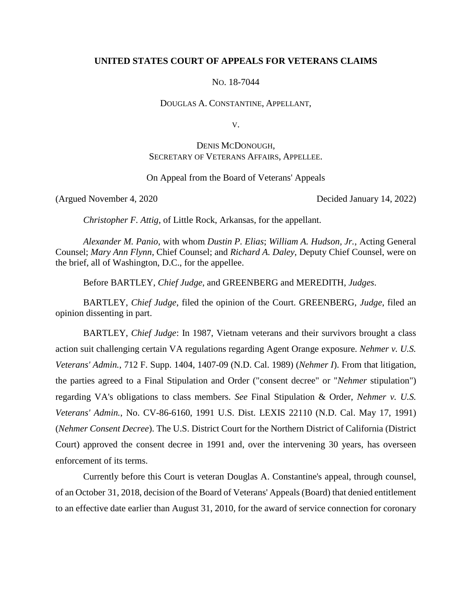## **UNITED STATES COURT OF APPEALS FOR VETERANS CLAIMS**

NO. 18-7044

DOUGLAS A. CONSTANTINE, APPELLANT,

V.

# DENIS MCDONOUGH, SECRETARY OF VETERANS AFFAIRS, APPELLEE.

On Appeal from the Board of Veterans' Appeals

(Argued November 4, 2020 Decided January 14, 2022)

*Christopher F. Attig*, of Little Rock, Arkansas, for the appellant.

*Alexander M. Panio*, with whom *Dustin P. Elias*; *William A. Hudson, Jr.*, Acting General Counsel; *Mary Ann Flynn*, Chief Counsel; and *Richard A. Daley*, Deputy Chief Counsel, were on the brief, all of Washington, D.C., for the appellee.

Before BARTLEY, *Chief Judge*, and GREENBERG and MEREDITH, *Judges*.

BARTLEY, *Chief Judge*, filed the opinion of the Court. GREENBERG, *Judge*, filed an opinion dissenting in part.

BARTLEY, *Chief Judge*: In 1987, Vietnam veterans and their survivors brought a class action suit challenging certain VA regulations regarding Agent Orange exposure. *Nehmer v. U.S. Veterans' Admin.*, 712 F. Supp. 1404, 1407-09 (N.D. Cal. 1989) (*Nehmer I*). From that litigation, the parties agreed to a Final Stipulation and Order ("consent decree" or "*Nehmer* stipulation") regarding VA's obligations to class members. *See* Final Stipulation & Order, *Nehmer v. U.S. Veterans' Admin.*, No. CV-86-6160, 1991 U.S. Dist. LEXIS 22110 (N.D. Cal. May 17, 1991) (*Nehmer Consent Decree*). The U.S. District Court for the Northern District of California (District Court) approved the consent decree in 1991 and, over the intervening 30 years, has overseen enforcement of its terms.

Currently before this Court is veteran Douglas A. Constantine's appeal, through counsel, of an October 31, 2018, decision of the Board of Veterans' Appeals (Board) that denied entitlement to an effective date earlier than August 31, 2010, for the award of service connection for coronary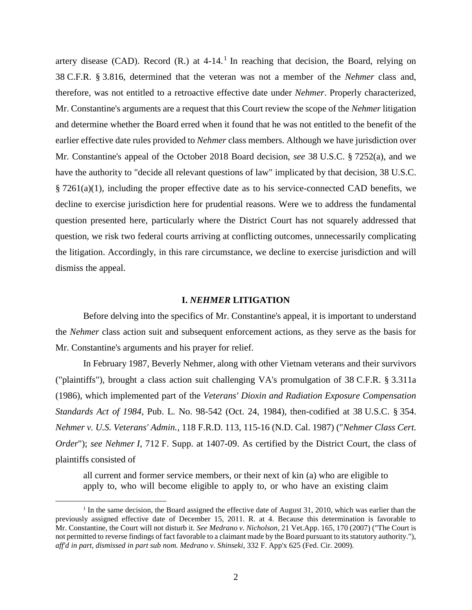artery disease (CAD). Record  $(R)$  at 4-14.<sup>1</sup> In reaching that decision, the Board, relying on 38 C.F.R. § 3.816, determined that the veteran was not a member of the *Nehmer* class and, therefore, was not entitled to a retroactive effective date under *Nehmer*. Properly characterized, Mr. Constantine's arguments are a request that this Court review the scope of the *Nehmer* litigation and determine whether the Board erred when it found that he was not entitled to the benefit of the earlier effective date rules provided to *Nehmer* class members. Although we have jurisdiction over Mr. Constantine's appeal of the October 2018 Board decision, *see* 38 U.S.C. § 7252(a), and we have the authority to "decide all relevant questions of law" implicated by that decision, 38 U.S.C.  $\S 7261(a)(1)$ , including the proper effective date as to his service-connected CAD benefits, we decline to exercise jurisdiction here for prudential reasons. Were we to address the fundamental question presented here, particularly where the District Court has not squarely addressed that question, we risk two federal courts arriving at conflicting outcomes, unnecessarily complicating the litigation. Accordingly, in this rare circumstance, we decline to exercise jurisdiction and will dismiss the appeal.

#### **I.** *NEHMER* **LITIGATION**

Before delving into the specifics of Mr. Constantine's appeal, it is important to understand the *Nehmer* class action suit and subsequent enforcement actions, as they serve as the basis for Mr. Constantine's arguments and his prayer for relief.

In February 1987, Beverly Nehmer, along with other Vietnam veterans and their survivors ("plaintiffs"), brought a class action suit challenging VA's promulgation of 38 C.F.R. § 3.311a (1986), which implemented part of the *Veterans' Dioxin and Radiation Exposure Compensation Standards Act of 1984*, Pub. L. No. 98-542 (Oct. 24, 1984), then-codified at 38 U.S.C. § 354. *Nehmer v. U.S. Veterans' Admin.*, 118 F.R.D. 113, 115-16 (N.D. Cal. 1987) ("*Nehmer Class Cert. Order*"); *see Nehmer I*, 712 F. Supp. at 1407-09. As certified by the District Court, the class of plaintiffs consisted of

all current and former service members, or their next of kin (a) who are eligible to apply to, who will become eligible to apply to, or who have an existing claim

<sup>&</sup>lt;sup>1</sup> In the same decision, the Board assigned the effective date of August 31, 2010, which was earlier than the previously assigned effective date of December 15, 2011. R. at 4. Because this determination is favorable to Mr. Constantine, the Court will not disturb it. *See Medrano v. Nicholson*, 21 Vet.App. 165, 170 (2007) ("The Court is not permitted to reverse findings of fact favorable to a claimant made by the Board pursuant to its statutory authority."), *aff'd in part, dismissed in part sub nom. Medrano v. Shinseki*, 332 F. App'x 625 (Fed. Cir. 2009).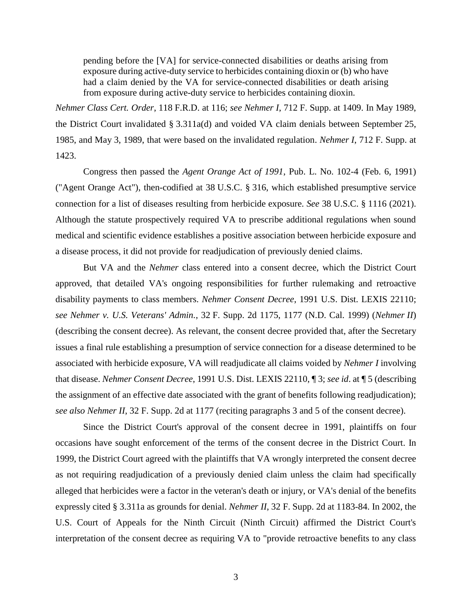pending before the [VA] for service-connected disabilities or deaths arising from exposure during active-duty service to herbicides containing dioxin or (b) who have had a claim denied by the VA for service-connected disabilities or death arising from exposure during active-duty service to herbicides containing dioxin.

*Nehmer Class Cert. Order*, 118 F.R.D. at 116; *see Nehmer I*, 712 F. Supp. at 1409. In May 1989, the District Court invalidated § 3.311a(d) and voided VA claim denials between September 25, 1985, and May 3, 1989, that were based on the invalidated regulation. *Nehmer I*, 712 F. Supp. at 1423.

Congress then passed the *Agent Orange Act of 1991*, Pub. L. No. 102-4 (Feb. 6, 1991) ("Agent Orange Act"), then-codified at 38 U.S.C. § 316, which established presumptive service connection for a list of diseases resulting from herbicide exposure. *See* 38 U.S.C. § 1116 (2021). Although the statute prospectively required VA to prescribe additional regulations when sound medical and scientific evidence establishes a positive association between herbicide exposure and a disease process, it did not provide for readjudication of previously denied claims.

But VA and the *Nehmer* class entered into a consent decree, which the District Court approved, that detailed VA's ongoing responsibilities for further rulemaking and retroactive disability payments to class members. *Nehmer Consent Decree*, 1991 U.S. Dist. LEXIS 22110; *see Nehmer v. U.S. Veterans' Admin.*, 32 F. Supp. 2d 1175, 1177 (N.D. Cal. 1999) (*Nehmer II*) (describing the consent decree). As relevant, the consent decree provided that, after the Secretary issues a final rule establishing a presumption of service connection for a disease determined to be associated with herbicide exposure, VA will readjudicate all claims voided by *Nehmer I* involving that disease. *Nehmer Consent Decree*, 1991 U.S. Dist. LEXIS 22110, ¶ 3; *see id*. at ¶ 5 (describing the assignment of an effective date associated with the grant of benefits following readjudication); *see also Nehmer II*, 32 F. Supp. 2d at 1177 (reciting paragraphs 3 and 5 of the consent decree).

Since the District Court's approval of the consent decree in 1991, plaintiffs on four occasions have sought enforcement of the terms of the consent decree in the District Court. In 1999, the District Court agreed with the plaintiffs that VA wrongly interpreted the consent decree as not requiring readjudication of a previously denied claim unless the claim had specifically alleged that herbicides were a factor in the veteran's death or injury, or VA's denial of the benefits expressly cited § 3.311a as grounds for denial. *Nehmer II*, 32 F. Supp. 2d at 1183-84. In 2002, the U.S. Court of Appeals for the Ninth Circuit (Ninth Circuit) affirmed the District Court's interpretation of the consent decree as requiring VA to "provide retroactive benefits to any class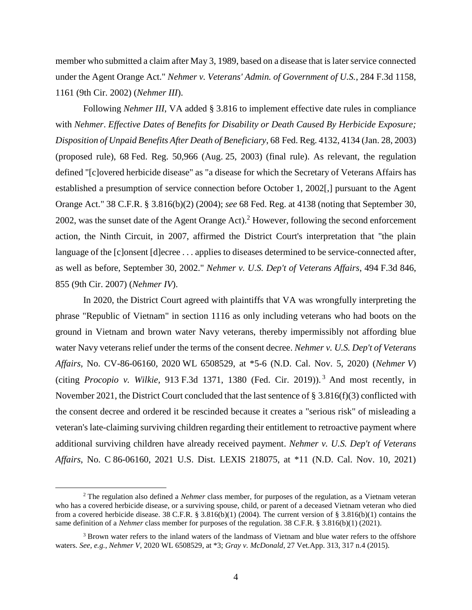member who submitted a claim after May 3, 1989, based on a disease that is later service connected under the Agent Orange Act." *Nehmer v. Veterans' Admin. of Government of U.S.*, 284 F.3d 1158, 1161 (9th Cir. 2002) (*Nehmer III*).

Following *Nehmer III*, VA added § 3.816 to implement effective date rules in compliance with *Nehmer*. *Effective Dates of Benefits for Disability or Death Caused By Herbicide Exposure; Disposition of Unpaid Benefits After Death of Beneficiary*, 68 Fed. Reg. 4132, 4134 (Jan. 28, 2003) (proposed rule), 68 Fed. Reg. 50,966 (Aug. 25, 2003) (final rule). As relevant, the regulation defined "[c]overed herbicide disease" as "a disease for which the Secretary of Veterans Affairs has established a presumption of service connection before October 1, 2002[,] pursuant to the Agent Orange Act." 38 C.F.R. § 3.816(b)(2) (2004); *see* 68 Fed. Reg. at 4138 (noting that September 30, 2002, was the sunset date of the Agent Orange Act).<sup>2</sup> However, following the second enforcement action, the Ninth Circuit, in 2007, affirmed the District Court's interpretation that "the plain language of the [c]onsent [d]ecree . . . applies to diseases determined to be service-connected after, as well as before, September 30, 2002." *Nehmer v. U.S. Dep't of Veterans Affairs*, 494 F.3d 846, 855 (9th Cir. 2007) (*Nehmer IV*).

In 2020, the District Court agreed with plaintiffs that VA was wrongfully interpreting the phrase "Republic of Vietnam" in section 1116 as only including veterans who had boots on the ground in Vietnam and brown water Navy veterans, thereby impermissibly not affording blue water Navy veterans relief under the terms of the consent decree. *Nehmer v. U.S. Dep't of Veterans Affairs*, No. CV-86-06160, 2020 WL 6508529, at \*5-6 (N.D. Cal. Nov. 5, 2020) (*Nehmer V*) (citing *Procopio v. Wilkie*, 913 F.3d 1371, 1380 (Fed. Cir. 2019)). <sup>3</sup> And most recently, in November 2021, the District Court concluded that the last sentence of § 3.816(f)(3) conflicted with the consent decree and ordered it be rescinded because it creates a "serious risk" of misleading a veteran's late-claiming surviving children regarding their entitlement to retroactive payment where additional surviving children have already received payment. *Nehmer v. U.S. Dep't of Veterans Affairs*, No. C 86-06160, 2021 U.S. Dist. LEXIS 218075, at \*11 (N.D. Cal. Nov. 10, 2021)

<sup>2</sup> The regulation also defined a *Nehmer* class member, for purposes of the regulation, as a Vietnam veteran who has a covered herbicide disease, or a surviving spouse, child, or parent of a deceased Vietnam veteran who died from a covered herbicide disease. 38 C.F.R. § 3.816(b)(1) (2004). The current version of § 3.816(b)(1) contains the same definition of a *Nehmer* class member for purposes of the regulation. 38 C.F.R. § 3.816(b)(1) (2021).

<sup>&</sup>lt;sup>3</sup> Brown water refers to the inland waters of the landmass of Vietnam and blue water refers to the offshore waters. *See, e.g.*, *Nehmer V*, 2020 WL 6508529, at \*3; *Gray v. McDonald*, 27 Vet.App. 313, 317 n.4 (2015).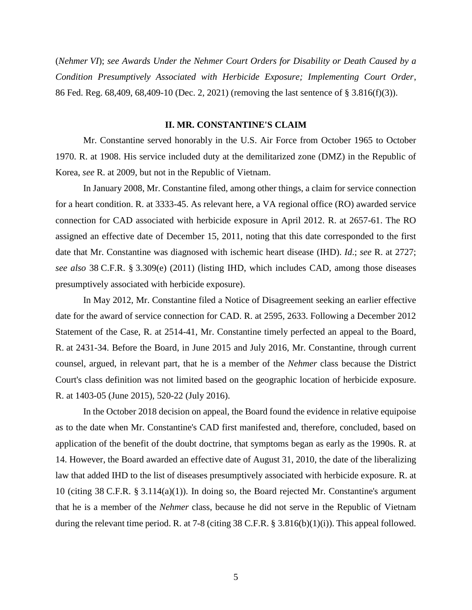(*Nehmer VI*); *see Awards Under the Nehmer Court Orders for Disability or Death Caused by a Condition Presumptively Associated with Herbicide Exposure; Implementing Court Order*, 86 Fed. Reg. 68,409, 68,409-10 (Dec. 2, 2021) (removing the last sentence of § 3.816(f)(3)).

## **II. MR. CONSTANTINE'S CLAIM**

Mr. Constantine served honorably in the U.S. Air Force from October 1965 to October 1970. R. at 1908. His service included duty at the demilitarized zone (DMZ) in the Republic of Korea, *see* R. at 2009, but not in the Republic of Vietnam.

In January 2008, Mr. Constantine filed, among other things, a claim for service connection for a heart condition. R. at 3333-45. As relevant here, a VA regional office (RO) awarded service connection for CAD associated with herbicide exposure in April 2012. R. at 2657-61. The RO assigned an effective date of December 15, 2011, noting that this date corresponded to the first date that Mr. Constantine was diagnosed with ischemic heart disease (IHD). *Id*.; *see* R. at 2727; *see also* 38 C.F.R. § 3.309(e) (2011) (listing IHD, which includes CAD, among those diseases presumptively associated with herbicide exposure).

In May 2012, Mr. Constantine filed a Notice of Disagreement seeking an earlier effective date for the award of service connection for CAD. R. at 2595, 2633. Following a December 2012 Statement of the Case, R. at 2514-41, Mr. Constantine timely perfected an appeal to the Board, R. at 2431-34. Before the Board, in June 2015 and July 2016, Mr. Constantine, through current counsel, argued, in relevant part, that he is a member of the *Nehmer* class because the District Court's class definition was not limited based on the geographic location of herbicide exposure. R. at 1403-05 (June 2015), 520-22 (July 2016).

In the October 2018 decision on appeal, the Board found the evidence in relative equipoise as to the date when Mr. Constantine's CAD first manifested and, therefore, concluded, based on application of the benefit of the doubt doctrine, that symptoms began as early as the 1990s. R. at 14. However, the Board awarded an effective date of August 31, 2010, the date of the liberalizing law that added IHD to the list of diseases presumptively associated with herbicide exposure. R. at 10 (citing 38 C.F.R. § 3.114(a)(1)). In doing so, the Board rejected Mr. Constantine's argument that he is a member of the *Nehmer* class, because he did not serve in the Republic of Vietnam during the relevant time period. R. at 7-8 (citing 38 C.F.R.  $\S$  3.816(b)(1)(i)). This appeal followed.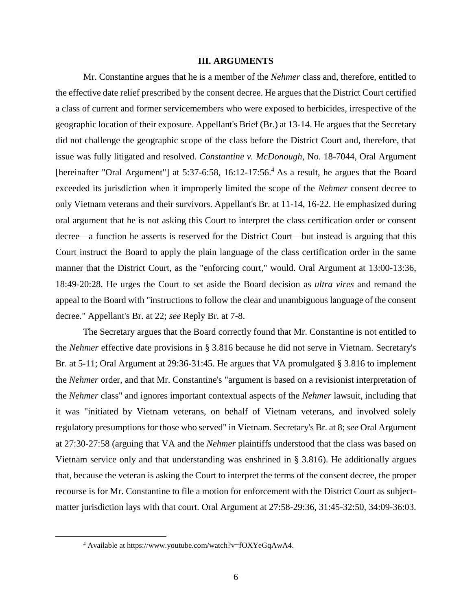## **III. ARGUMENTS**

Mr. Constantine argues that he is a member of the *Nehmer* class and, therefore, entitled to the effective date relief prescribed by the consent decree. He argues that the District Court certified a class of current and former servicemembers who were exposed to herbicides, irrespective of the geographic location of their exposure. Appellant's Brief (Br.) at 13-14. He argues that the Secretary did not challenge the geographic scope of the class before the District Court and, therefore, that issue was fully litigated and resolved. *Constantine v. McDonough*, No. 18-7044, Oral Argument [hereinafter "Oral Argument"] at 5:37-6:58, 16:12-17:56.<sup>4</sup> As a result, he argues that the Board exceeded its jurisdiction when it improperly limited the scope of the *Nehmer* consent decree to only Vietnam veterans and their survivors. Appellant's Br. at 11-14, 16-22. He emphasized during oral argument that he is not asking this Court to interpret the class certification order or consent decree—a function he asserts is reserved for the District Court—but instead is arguing that this Court instruct the Board to apply the plain language of the class certification order in the same manner that the District Court, as the "enforcing court," would. Oral Argument at 13:00-13:36, 18:49-20:28. He urges the Court to set aside the Board decision as *ultra vires* and remand the appeal to the Board with "instructions to follow the clear and unambiguous language of the consent decree." Appellant's Br. at 22; *see* Reply Br. at 7-8.

The Secretary argues that the Board correctly found that Mr. Constantine is not entitled to the *Nehmer* effective date provisions in § 3.816 because he did not serve in Vietnam. Secretary's Br. at 5-11; Oral Argument at 29:36-31:45. He argues that VA promulgated § 3.816 to implement the *Nehmer* order, and that Mr. Constantine's "argument is based on a revisionist interpretation of the *Nehmer* class" and ignores important contextual aspects of the *Nehmer* lawsuit, including that it was "initiated by Vietnam veterans, on behalf of Vietnam veterans, and involved solely regulatory presumptions for those who served" in Vietnam. Secretary's Br. at 8; *see* Oral Argument at 27:30-27:58 (arguing that VA and the *Nehmer* plaintiffs understood that the class was based on Vietnam service only and that understanding was enshrined in § 3.816). He additionally argues that, because the veteran is asking the Court to interpret the terms of the consent decree, the proper recourse is for Mr. Constantine to file a motion for enforcement with the District Court as subjectmatter jurisdiction lays with that court. Oral Argument at 27:58-29:36, 31:45-32:50, 34:09-36:03.

<sup>4</sup> Available at https://www.youtube.com/watch?v=fOXYeGqAwA4.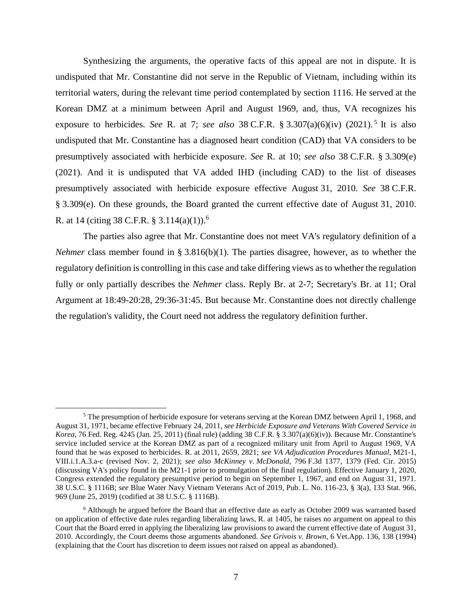Synthesizing the arguments, the operative facts of this appeal are not in dispute. It is undisputed that Mr. Constantine did not serve in the Republic of Vietnam, including within its territorial waters, during the relevant time period contemplated by section 1116. He served at the Korean DMZ at a minimum between April and August 1969, and, thus, VA recognizes his exposure to herbicides. *See* R. at 7; *see also* 38 C.F.R. § 3.307(a)(6)(iv) (2021). 5 It is also undisputed that Mr. Constantine has a diagnosed heart condition (CAD) that VA considers to be presumptively associated with herbicide exposure. *See* R. at 10; *see also* 38 C.F.R. § 3.309(e) (2021). And it is undisputed that VA added IHD (including CAD) to the list of diseases presumptively associated with herbicide exposure effective August 31, 2010. *See* 38 C.F.R. § 3.309(e). On these grounds, the Board granted the current effective date of August 31, 2010. R. at 14 (citing 38 C.F.R. § 3.114(a)(1)).<sup>6</sup>

The parties also agree that Mr. Constantine does not meet VA's regulatory definition of a *Nehmer* class member found in § 3.816(b)(1). The parties disagree, however, as to whether the regulatory definition is controlling in this case and take differing views as to whether the regulation fully or only partially describes the *Nehmer* class. Reply Br. at 2-7; Secretary's Br. at 11; Oral Argument at 18:49-20:28, 29:36-31:45. But because Mr. Constantine does not directly challenge the regulation's validity, the Court need not address the regulatory definition further.

 $<sup>5</sup>$  The presumption of herbicide exposure for veterans serving at the Korean DMZ between April 1, 1968, and</sup> August 31, 1971, became effective February 24, 2011, *see Herbicide Exposure and Veterans With Covered Service in Korea*, 76 Fed. Reg. 4245 (Jan. 25, 2011) (final rule) (adding 38 C.F.R. § 3.307(a)(6)(iv)). Because Mr. Constantine's service included service at the Korean DMZ as part of a recognized military unit from April to August 1969, VA found that he was exposed to herbicides. R. at 2011, 2659, 2821; *see VA Adjudication Procedures Manual*, M21-1, VIII.i.1.A.3.a-c (revised Nov. 2, 2021); *see also McKinney v. McDonald*, 796 F.3d 1377, 1379 (Fed. Cir. 2015) (discussing VA's policy found in the M21-1 prior to promulgation of the final regulation). Effective January 1, 2020, Congress extended the regulatory presumptive period to begin on September 1, 1967, and end on August 31, 1971. 38 U.S.C. § 1116B; *see* Blue Water Navy Vietnam Veterans Act of 2019, Pub. L. No. 116-23, § 3(a), 133 Stat. 966, 969 (June 25, 2019) (codified at 38 U.S.C. § 1116B).

<sup>6</sup> Although he argued before the Board that an effective date as early as October 2009 was warranted based on application of effective date rules regarding liberalizing laws, R. at 1405, he raises no argument on appeal to this Court that the Board erred in applying the liberalizing law provisions to award the current effective date of August 31, 2010. Accordingly, the Court deems those arguments abandoned. *See Grivois v. Brown*, 6 Vet.App. 136, 138 (1994) (explaining that the Court has discretion to deem issues not raised on appeal as abandoned).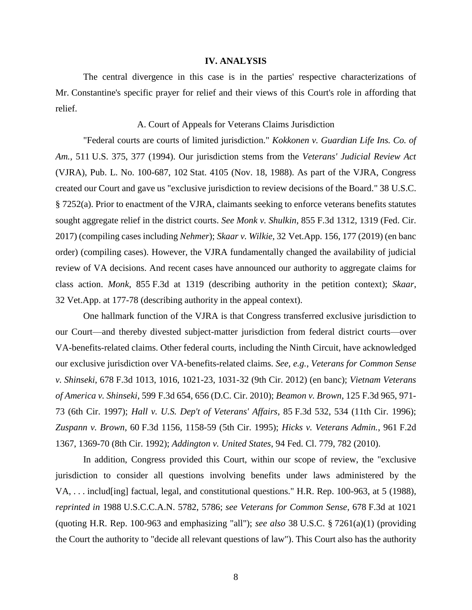#### **IV. ANALYSIS**

The central divergence in this case is in the parties' respective characterizations of Mr. Constantine's specific prayer for relief and their views of this Court's role in affording that relief.

## A. Court of Appeals for Veterans Claims Jurisdiction

"Federal courts are courts of limited jurisdiction." *Kokkonen v. Guardian Life Ins. Co. of Am.*, 511 U.S. 375, 377 (1994). Our jurisdiction stems from the *Veterans' Judicial Review Act* (VJRA), Pub. L. No. 100-687, 102 Stat. 4105 (Nov. 18, 1988). As part of the VJRA, Congress created our Court and gave us "exclusive jurisdiction to review decisions of the Board." 38 U.S.C. § 7252(a). Prior to enactment of the VJRA, claimants seeking to enforce veterans benefits statutes sought aggregate relief in the district courts. *See Monk v. Shulkin*, 855 F.3d 1312, 1319 (Fed. Cir. 2017) (compiling cases including *Nehmer*); *Skaar v. Wilkie*, 32 Vet.App. 156, 177 (2019) (en banc order) (compiling cases). However, the VJRA fundamentally changed the availability of judicial review of VA decisions. And recent cases have announced our authority to aggregate claims for class action. *Monk*, 855 F.3d at 1319 (describing authority in the petition context); *Skaar*, 32 Vet.App. at 177-78 (describing authority in the appeal context).

One hallmark function of the VJRA is that Congress transferred exclusive jurisdiction to our Court—and thereby divested subject-matter jurisdiction from federal district courts—over VA-benefits-related claims. Other federal courts, including the Ninth Circuit, have acknowledged our exclusive jurisdiction over VA-benefits-related claims. *See, e.g.*, *Veterans for Common Sense v. Shinseki*, 678 F.3d 1013, 1016, 1021-23, 1031-32 (9th Cir. 2012) (en banc); *Vietnam Veterans of America v. Shinseki*, 599 F.3d 654, 656 (D.C. Cir. 2010); *Beamon v. Brown*, 125 F.3d 965, 971- 73 (6th Cir. 1997); *Hall v. U.S. Dep't of Veterans' Affairs*, 85 F.3d 532, 534 (11th Cir. 1996); *Zuspann v. Brown*, 60 F.3d 1156, 1158-59 (5th Cir. 1995); *Hicks v. Veterans Admin.*, 961 F.2d 1367, 1369-70 (8th Cir. 1992); *Addington v. United States*, 94 Fed. Cl. 779, 782 (2010).

In addition, Congress provided this Court, within our scope of review, the "exclusive jurisdiction to consider all questions involving benefits under laws administered by the VA, . . . includ[ing] factual, legal, and constitutional questions." H.R. Rep. 100-963, at 5 (1988), *reprinted in* 1988 U.S.C.C.A.N. 5782, 5786; *see Veterans for Common Sense*, 678 F.3d at 1021 (quoting H.R. Rep. 100-963 and emphasizing "all"); *see also* 38 U.S.C. § 7261(a)(1) (providing the Court the authority to "decide all relevant questions of law"). This Court also has the authority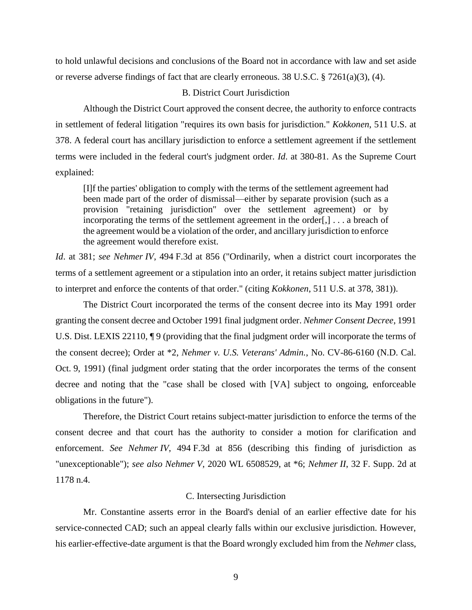to hold unlawful decisions and conclusions of the Board not in accordance with law and set aside or reverse adverse findings of fact that are clearly erroneous. 38 U.S.C.  $\S$  7261(a)(3), (4).

# B. District Court Jurisdiction

Although the District Court approved the consent decree, the authority to enforce contracts in settlement of federal litigation "requires its own basis for jurisdiction." *Kokkonen*, 511 U.S. at 378. A federal court has ancillary jurisdiction to enforce a settlement agreement if the settlement terms were included in the federal court's judgment order. *Id*. at 380-81. As the Supreme Court explained:

[I]f the parties' obligation to comply with the terms of the settlement agreement had been made part of the order of dismissal—either by separate provision (such as a provision "retaining jurisdiction" over the settlement agreement) or by incorporating the terms of the settlement agreement in the order[,] . . . a breach of the agreement would be a violation of the order, and ancillary jurisdiction to enforce the agreement would therefore exist.

*Id*. at 381; *see Nehmer IV*, 494 F.3d at 856 ("Ordinarily, when a district court incorporates the terms of a settlement agreement or a stipulation into an order, it retains subject matter jurisdiction to interpret and enforce the contents of that order." (citing *Kokkonen*, 511 U.S. at 378, 381)).

The District Court incorporated the terms of the consent decree into its May 1991 order granting the consent decree and October 1991 final judgment order. *Nehmer Consent Decree*, 1991 U.S. Dist. LEXIS 22110,  $\P$  9 (providing that the final judgment order will incorporate the terms of the consent decree); Order at \*2, *Nehmer v. U.S. Veterans' Admin.*, No. CV-86-6160 (N.D. Cal. Oct. 9, 1991) (final judgment order stating that the order incorporates the terms of the consent decree and noting that the "case shall be closed with [VA] subject to ongoing, enforceable obligations in the future").

Therefore, the District Court retains subject-matter jurisdiction to enforce the terms of the consent decree and that court has the authority to consider a motion for clarification and enforcement. *See Nehmer IV*, 494 F.3d at 856 (describing this finding of jurisdiction as "unexceptionable"); *see also Nehmer V*, 2020 WL 6508529, at \*6; *Nehmer II*, 32 F. Supp. 2d at 1178 n.4.

## C. Intersecting Jurisdiction

Mr. Constantine asserts error in the Board's denial of an earlier effective date for his service-connected CAD; such an appeal clearly falls within our exclusive jurisdiction. However, his earlier-effective-date argument is that the Board wrongly excluded him from the *Nehmer* class,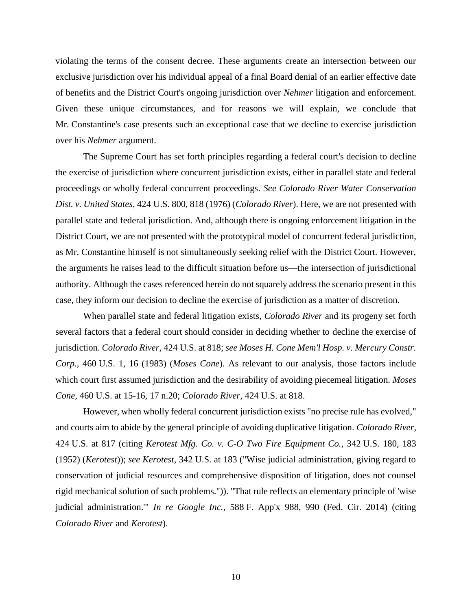violating the terms of the consent decree. These arguments create an intersection between our exclusive jurisdiction over his individual appeal of a final Board denial of an earlier effective date of benefits and the District Court's ongoing jurisdiction over *Nehmer* litigation and enforcement. Given these unique circumstances, and for reasons we will explain, we conclude that Mr. Constantine's case presents such an exceptional case that we decline to exercise jurisdiction over his *Nehmer* argument.

The Supreme Court has set forth principles regarding a federal court's decision to decline the exercise of jurisdiction where concurrent jurisdiction exists, either in parallel state and federal proceedings or wholly federal concurrent proceedings. *See Colorado River Water Conservation Dist. v. United States*, 424 U.S. 800, 818 (1976) (*Colorado River*). Here, we are not presented with parallel state and federal jurisdiction. And, although there is ongoing enforcement litigation in the District Court, we are not presented with the prototypical model of concurrent federal jurisdiction, as Mr. Constantine himself is not simultaneously seeking relief with the District Court. However, the arguments he raises lead to the difficult situation before us—the intersection of jurisdictional authority. Although the cases referenced herein do not squarely address the scenario present in this case, they inform our decision to decline the exercise of jurisdiction as a matter of discretion.

When parallel state and federal litigation exists, *Colorado River* and its progeny set forth several factors that a federal court should consider in deciding whether to decline the exercise of jurisdiction. *Colorado River*, 424 U.S. at 818; *see Moses H. Cone Mem'l Hosp. v. Mercury Constr. Corp.*, 460 U.S. 1, 16 (1983) (*Moses Cone*). As relevant to our analysis, those factors include which court first assumed jurisdiction and the desirability of avoiding piecemeal litigation. *Moses Cone*, 460 U.S. at 15-16, 17 n.20; *Colorado River*, 424 U.S. at 818.

However, when wholly federal concurrent jurisdiction exists "no precise rule has evolved," and courts aim to abide by the general principle of avoiding duplicative litigation. *Colorado River*, 424 U.S. at 817 (citing *Kerotest Mfg. Co. v. C-O Two Fire Equipment Co.*, 342 U.S. 180, 183 (1952) (*Kerotest*)); *see Kerotest*, 342 U.S. at 183 ("Wise judicial administration, giving regard to conservation of judicial resources and comprehensive disposition of litigation, does not counsel rigid mechanical solution of such problems.")). "That rule reflects an elementary principle of 'wise judicial administration.'" *In re Google Inc.*, 588 F. App'x 988, 990 (Fed. Cir. 2014) (citing *Colorado River* and *Kerotest*).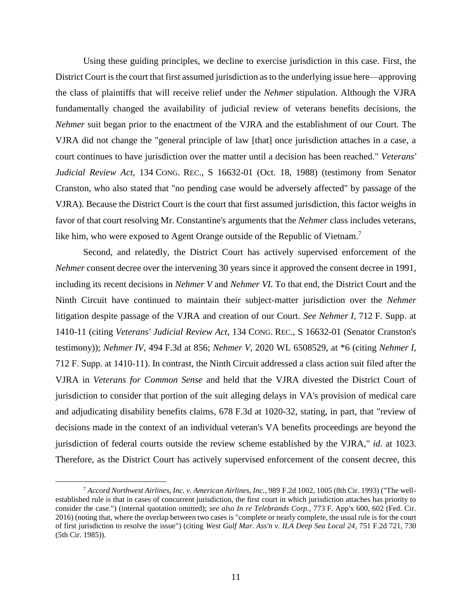Using these guiding principles, we decline to exercise jurisdiction in this case. First, the District Court is the court that first assumed jurisdiction as to the underlying issue here—approving the class of plaintiffs that will receive relief under the *Nehmer* stipulation. Although the VJRA fundamentally changed the availability of judicial review of veterans benefits decisions, the *Nehmer* suit began prior to the enactment of the VJRA and the establishment of our Court. The VJRA did not change the "general principle of law [that] once jurisdiction attaches in a case, a court continues to have jurisdiction over the matter until a decision has been reached." *Veterans' Judicial Review Act*, 134 CONG. REC., S 16632-01 (Oct. 18, 1988) (testimony from Senator Cranston, who also stated that "no pending case would be adversely affected" by passage of the VJRA). Because the District Court is the court that first assumed jurisdiction, this factor weighs in favor of that court resolving Mr. Constantine's arguments that the *Nehmer* class includes veterans, like him, who were exposed to Agent Orange outside of the Republic of Vietnam.<sup>7</sup>

Second, and relatedly, the District Court has actively supervised enforcement of the *Nehmer* consent decree over the intervening 30 years since it approved the consent decree in 1991, including its recent decisions in *Nehmer V* and *Nehmer VI*. To that end, the District Court and the Ninth Circuit have continued to maintain their subject-matter jurisdiction over the *Nehmer* litigation despite passage of the VJRA and creation of our Court. *See Nehmer I*, 712 F. Supp. at 1410-11 (citing *Veterans' Judicial Review Act*, 134 CONG. REC., S 16632-01 (Senator Cranston's testimony)); *Nehmer IV*, 494 F.3d at 856; *Nehmer V*, 2020 WL 6508529, at \*6 (citing *Nehmer I*, 712 F. Supp. at 1410-11). In contrast, the Ninth Circuit addressed a class action suit filed after the VJRA in *Veterans for Common Sense* and held that the VJRA divested the District Court of jurisdiction to consider that portion of the suit alleging delays in VA's provision of medical care and adjudicating disability benefits claims, 678 F.3d at 1020-32, stating, in part, that "review of decisions made in the context of an individual veteran's VA benefits proceedings are beyond the jurisdiction of federal courts outside the review scheme established by the VJRA," *id*. at 1023. Therefore, as the District Court has actively supervised enforcement of the consent decree, this

<sup>7</sup> *Accord Northwest Airlines, Inc. v. American Airlines, Inc.*, 989 F.2d 1002, 1005 (8th Cir. 1993) ("The wellestablished rule is that in cases of concurrent jurisdiction, the first court in which jurisdiction attaches has priority to consider the case.") (internal quotation omitted); *see also In re Telebrands Corp.*, 773 F. App'x 600, 602 (Fed. Cir. 2016) (noting that, where the overlap between two cases is "complete or nearly complete, the usual rule is for the court of first jurisdiction to resolve the issue") (citing *West Gulf Mar. Ass'n v. ILA Deep Sea Local 24*, 751 F.2d 721, 730 (5th Cir. 1985)).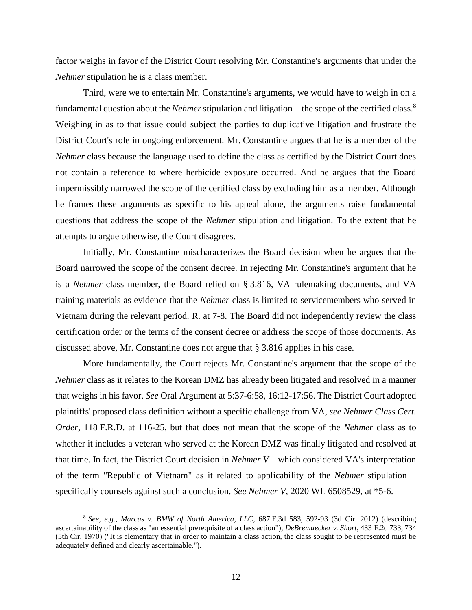factor weighs in favor of the District Court resolving Mr. Constantine's arguments that under the *Nehmer* stipulation he is a class member.

Third, were we to entertain Mr. Constantine's arguments, we would have to weigh in on a fundamental question about the *Nehmer*stipulation and litigation—the scope of the certified class. 8 Weighing in as to that issue could subject the parties to duplicative litigation and frustrate the District Court's role in ongoing enforcement. Mr. Constantine argues that he is a member of the *Nehmer* class because the language used to define the class as certified by the District Court does not contain a reference to where herbicide exposure occurred. And he argues that the Board impermissibly narrowed the scope of the certified class by excluding him as a member. Although he frames these arguments as specific to his appeal alone, the arguments raise fundamental questions that address the scope of the *Nehmer* stipulation and litigation. To the extent that he attempts to argue otherwise, the Court disagrees.

Initially, Mr. Constantine mischaracterizes the Board decision when he argues that the Board narrowed the scope of the consent decree. In rejecting Mr. Constantine's argument that he is a *Nehmer* class member, the Board relied on § 3.816, VA rulemaking documents, and VA training materials as evidence that the *Nehmer* class is limited to servicemembers who served in Vietnam during the relevant period. R. at 7-8. The Board did not independently review the class certification order or the terms of the consent decree or address the scope of those documents. As discussed above, Mr. Constantine does not argue that § 3.816 applies in his case.

More fundamentally, the Court rejects Mr. Constantine's argument that the scope of the *Nehmer* class as it relates to the Korean DMZ has already been litigated and resolved in a manner that weighs in his favor. *See* Oral Argument at 5:37-6:58, 16:12-17:56. The District Court adopted plaintiffs' proposed class definition without a specific challenge from VA, *see Nehmer Class Cert. Order*, 118 F.R.D. at 116-25, but that does not mean that the scope of the *Nehmer* class as to whether it includes a veteran who served at the Korean DMZ was finally litigated and resolved at that time. In fact, the District Court decision in *Nehmer V*—which considered VA's interpretation of the term "Republic of Vietnam" as it related to applicability of the *Nehmer* stipulation specifically counsels against such a conclusion. *See Nehmer V*, 2020 WL 6508529, at \*5-6.

<sup>8</sup> *See, e.g.*, *Marcus v. BMW of North America, LLC*, 687 F.3d 583, 592-93 (3d Cir. 2012) (describing ascertainability of the class as "an essential prerequisite of a class action"); *DeBremaecker v. Short*, 433 F.2d 733, 734 (5th Cir. 1970) ("It is elementary that in order to maintain a class action, the class sought to be represented must be adequately defined and clearly ascertainable.").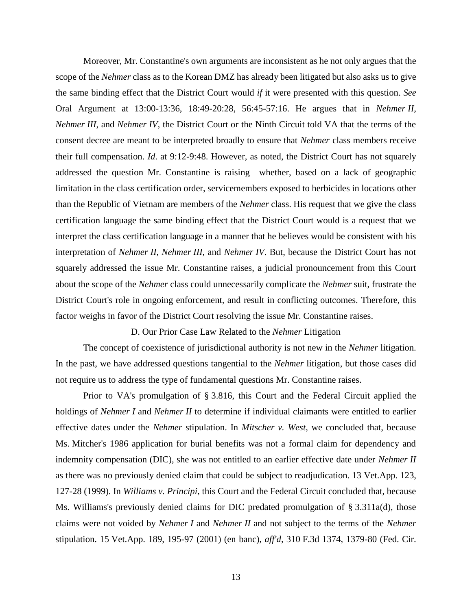Moreover, Mr. Constantine's own arguments are inconsistent as he not only argues that the scope of the *Nehmer* class as to the Korean DMZ has already been litigated but also asks us to give the same binding effect that the District Court would *if* it were presented with this question. *See* Oral Argument at 13:00-13:36, 18:49-20:28, 56:45-57:16. He argues that in *Nehmer II*, *Nehmer III*, and *Nehmer IV*, the District Court or the Ninth Circuit told VA that the terms of the consent decree are meant to be interpreted broadly to ensure that *Nehmer* class members receive their full compensation. *Id*. at 9:12-9:48. However, as noted, the District Court has not squarely addressed the question Mr. Constantine is raising—whether, based on a lack of geographic limitation in the class certification order, servicemembers exposed to herbicides in locations other than the Republic of Vietnam are members of the *Nehmer* class. His request that we give the class certification language the same binding effect that the District Court would is a request that we interpret the class certification language in a manner that he believes would be consistent with his interpretation of *Nehmer II*, *Nehmer III*, and *Nehmer IV*. But, because the District Court has not squarely addressed the issue Mr. Constantine raises, a judicial pronouncement from this Court about the scope of the *Nehmer* class could unnecessarily complicate the *Nehmer* suit, frustrate the District Court's role in ongoing enforcement, and result in conflicting outcomes. Therefore, this factor weighs in favor of the District Court resolving the issue Mr. Constantine raises.

D. Our Prior Case Law Related to the *Nehmer* Litigation

The concept of coexistence of jurisdictional authority is not new in the *Nehmer* litigation. In the past, we have addressed questions tangential to the *Nehmer* litigation, but those cases did not require us to address the type of fundamental questions Mr. Constantine raises.

Prior to VA's promulgation of § 3.816, this Court and the Federal Circuit applied the holdings of *Nehmer I* and *Nehmer II* to determine if individual claimants were entitled to earlier effective dates under the *Nehmer* stipulation. In *Mitscher v. West*, we concluded that, because Ms. Mitcher's 1986 application for burial benefits was not a formal claim for dependency and indemnity compensation (DIC), she was not entitled to an earlier effective date under *Nehmer II* as there was no previously denied claim that could be subject to readjudication. 13 Vet.App. 123, 127-28 (1999). In *Williams v. Principi*, this Court and the Federal Circuit concluded that, because Ms. Williams's previously denied claims for DIC predated promulgation of § 3.311a(d), those claims were not voided by *Nehmer I* and *Nehmer II* and not subject to the terms of the *Nehmer* stipulation. 15 Vet.App. 189, 195-97 (2001) (en banc), *aff'd*, 310 F.3d 1374, 1379-80 (Fed. Cir.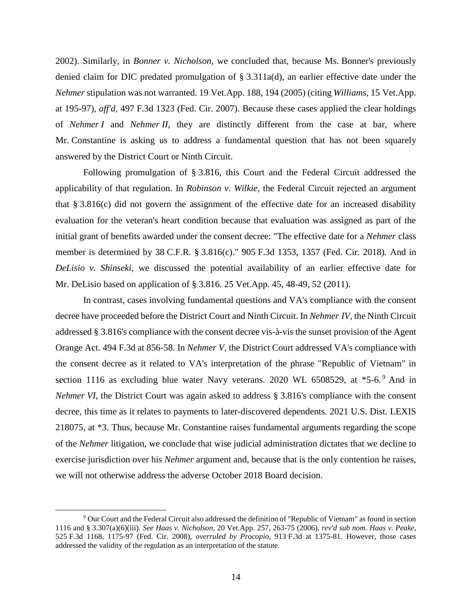2002). Similarly, in *Bonner v. Nicholson*, we concluded that, because Ms. Bonner's previously denied claim for DIC predated promulgation of § 3.311a(d), an earlier effective date under the *Nehmer* stipulation was not warranted. 19 Vet.App. 188, 194 (2005) (citing *Williams*, 15 Vet.App. at 195-97), *aff'd*, 497 F.3d 1323 (Fed. Cir. 2007). Because these cases applied the clear holdings of *Nehmer I* and *Nehmer II*, they are distinctly different from the case at bar, where Mr. Constantine is asking us to address a fundamental question that has not been squarely answered by the District Court or Ninth Circuit.

Following promulgation of § 3.816, this Court and the Federal Circuit addressed the applicability of that regulation. In *Robinson v. Wilkie*, the Federal Circuit rejected an argument that § 3.816(c) did not govern the assignment of the effective date for an increased disability evaluation for the veteran's heart condition because that evaluation was assigned as part of the initial grant of benefits awarded under the consent decree: "The effective date for a *Nehmer* class member is determined by 38 C.F.R. § 3.816(c)." 905 F.3d 1353, 1357 (Fed. Cir. 2018). And in *DeLisio v. Shinseki*, we discussed the potential availability of an earlier effective date for Mr. DeLisio based on application of § 3.816. 25 Vet.App. 45, 48-49, 52 (2011).

In contrast, cases involving fundamental questions and VA's compliance with the consent decree have proceeded before the District Court and Ninth Circuit. In *Nehmer IV*, the Ninth Circuit addressed § 3.816's compliance with the consent decree vis-à-vis the sunset provision of the Agent Orange Act. 494 F.3d at 856-58. In *Nehmer V*, the District Court addressed VA's compliance with the consent decree as it related to VA's interpretation of the phrase "Republic of Vietnam" in section 1116 as excluding blue water Navy veterans. 2020 WL  $6508529$ , at  $*5-6$ . And in *Nehmer VI*, the District Court was again asked to address § 3.816's compliance with the consent decree, this time as it relates to payments to later-discovered dependents. 2021 U.S. Dist. LEXIS 218075, at \*3. Thus, because Mr. Constantine raises fundamental arguments regarding the scope of the *Nehmer* litigation, we conclude that wise judicial administration dictates that we decline to exercise jurisdiction over his *Nehmer* argument and, because that is the only contention he raises, we will not otherwise address the adverse October 2018 Board decision.

<sup>9</sup> Our Court and the Federal Circuit also addressed the definition of "Republic of Vietnam" as found in section 1116 and § 3.307(a)(6)(iii). *See Haas v. Nicholson*, 20 Vet.App. 257, 263-75 (2006), *rev'd sub nom. Haas v. Peake*, 525 F.3d 1168, 1175-97 (Fed. Cir. 2008), *overruled by Procopio*, 913 F.3d at 1375-81. However, those cases addressed the validity of the regulation as an interpretation of the statute.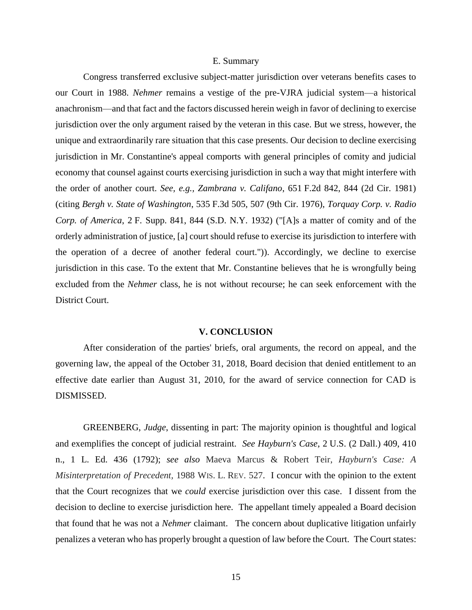#### E. Summary

Congress transferred exclusive subject-matter jurisdiction over veterans benefits cases to our Court in 1988. *Nehmer* remains a vestige of the pre-VJRA judicial system—a historical anachronism—and that fact and the factors discussed herein weigh in favor of declining to exercise jurisdiction over the only argument raised by the veteran in this case. But we stress, however, the unique and extraordinarily rare situation that this case presents. Our decision to decline exercising jurisdiction in Mr. Constantine's appeal comports with general principles of comity and judicial economy that counsel against courts exercising jurisdiction in such a way that might interfere with the order of another court. *See, e.g., Zambrana v. Califano*, 651 F.2d 842, 844 (2d Cir. 1981) (citing *Bergh v. State of Washington*, 535 F.3d 505, 507 (9th Cir. 1976), *Torquay Corp. v. Radio Corp. of America*, 2 F. Supp. 841, 844 (S.D. N.Y. 1932) ("[A]s a matter of comity and of the orderly administration of justice, [a] court should refuse to exercise its jurisdiction to interfere with the operation of a decree of another federal court.")). Accordingly, we decline to exercise jurisdiction in this case. To the extent that Mr. Constantine believes that he is wrongfully being excluded from the *Nehmer* class, he is not without recourse; he can seek enforcement with the District Court.

#### **V. CONCLUSION**

After consideration of the parties' briefs, oral arguments, the record on appeal, and the governing law, the appeal of the October 31, 2018, Board decision that denied entitlement to an effective date earlier than August 31, 2010, for the award of service connection for CAD is DISMISSED.

GREENBERG, *Judge*, dissenting in part: The majority opinion is thoughtful and logical and exemplifies the concept of judicial restraint. *See Hayburn's Case*, 2 U.S. (2 Dall.) 409, 410 n., 1 L. Ed. 436 (1792); *see also* Maeva Marcus & Robert Teir, *Hayburn's Case: A Misinterpretation of Precedent,* 1988 WIS. L. REV. 527. I concur with the opinion to the extent that the Court recognizes that we *could* exercise jurisdiction over this case. I dissent from the decision to decline to exercise jurisdiction here. The appellant timely appealed a Board decision that found that he was not a *Nehmer* claimant. The concern about duplicative litigation unfairly penalizes a veteran who has properly brought a question of law before the Court. The Court states: